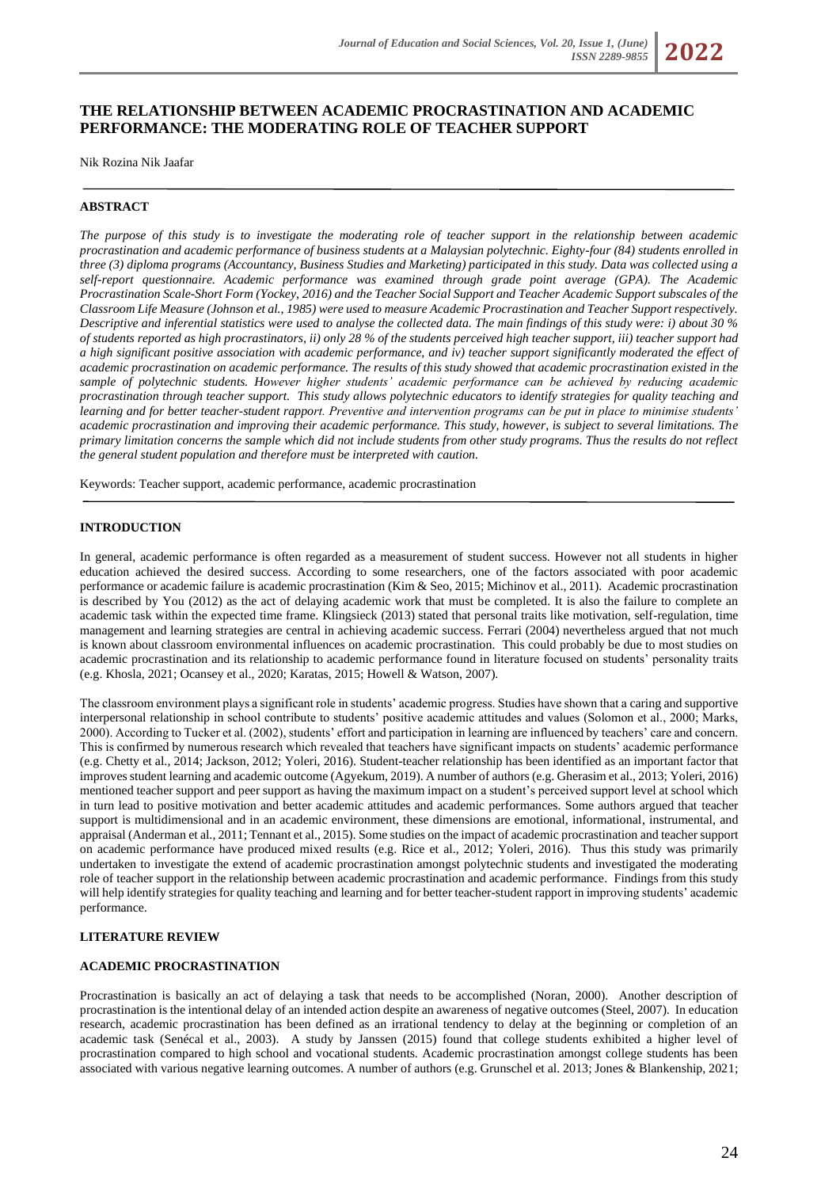# **THE RELATIONSHIP BETWEEN ACADEMIC PROCRASTINATION AND ACADEMIC PERFORMANCE: THE MODERATING ROLE OF TEACHER SUPPORT**

Nik Rozina Nik Jaafar

### **ABSTRACT**

*The purpose of this study is to investigate the moderating role of teacher support in the relationship between academic procrastination and academic performance of business students at a Malaysian polytechnic. Eighty-four (84) students enrolled in three (3) diploma programs (Accountancy, Business Studies and Marketing) participated in this study. Data was collected using a self-report questionnaire. Academic performance was examined through grade point average (GPA). The Academic Procrastination Scale-Short Form (Yockey, 2016) and the Teacher Social Support and Teacher Academic Support subscales of the Classroom Life Measure (Johnson et al., 1985) were used to measure Academic Procrastination and Teacher Support respectively. Descriptive and inferential statistics were used to analyse the collected data. The main findings of this study were: i) about 30 % of students reported as high procrastinators, ii) only 28 % of the students perceived high teacher support, iii) teacher support had a high significant positive association with academic performance, and iv) teacher support significantly moderated the effect of academic procrastination on academic performance. The results of this study showed that academic procrastination existed in the sample of polytechnic students. However higher students' academic performance can be achieved by reducing academic procrastination through teacher support. This study allows polytechnic educators to identify strategies for quality teaching and learning and for better teacher-student rapport. Preventive and intervention programs can be put in place to minimise students' academic procrastination and improving their academic performance. This study, however, is subject to several limitations. The primary limitation concerns the sample which did not include students from other study programs. Thus the results do not reflect the general student population and therefore must be interpreted with caution.*

Keywords: Teacher support, academic performance, academic procrastination

### **INTRODUCTION**

In general, academic performance is often regarded as a measurement of student success. However not all students in higher education achieved the desired success. According to some researchers, one of the factors associated with poor academic performance or academic failure is academic procrastination (Kim & Seo, 2015; Michinov et al., 2011). Academic procrastination is described by You (2012) as the act of delaying academic work that must be completed. It is also the failure to complete an academic task within the expected time frame. Klingsieck (2013) stated that personal traits like motivation, self-regulation, time management and learning strategies are central in achieving academic success. Ferrari (2004) nevertheless argued that not much is known about classroom environmental influences on academic procrastination. This could probably be due to most studies on academic procrastination and its relationship to academic performance found in literature focused on students' personality traits (e.g. Khosla, 2021; Ocansey et al., 2020; Karatas, 2015; Howell & Watson, 2007).

The classroom environment plays a significant role in students' academic progress. Studies have shown that a caring and supportive interpersonal relationship in school contribute to students' positive academic attitudes and values (Solomon et al., 2000; Marks, 2000). According to Tucker et al. (2002), students' effort and participation in learning are influenced by teachers' care and concern. This is confirmed by numerous research which revealed that teachers have significant impacts on students' academic performance (e.g. Chetty et al., 2014; Jackson, 2012; Yoleri, 2016). Student-teacher relationship has been identified as an important factor that improves student learning and academic outcome (Agyekum, 2019). A number of authors (e.g. Gherasim et al., 2013; Yoleri, 2016) mentioned teacher support and peer support as having the maximum impact on a student's perceived support level at school which in turn lead to positive motivation and better academic attitudes and academic performances. Some authors argued that teacher support is multidimensional and in an academic environment, these dimensions are emotional, informational, instrumental, and appraisal (Anderman et al., 2011; Tennant et al., 2015). Some studies on the impact of academic procrastination and teacher support on academic performance have produced mixed results (e.g. Rice et al., 2012; Yoleri, 2016). Thus this study was primarily undertaken to investigate the extend of academic procrastination amongst polytechnic students and investigated the moderating role of teacher support in the relationship between academic procrastination and academic performance. Findings from this study will help identify strategies for quality teaching and learning and for better teacher-student rapport in improving students' academic performance.

### **LITERATURE REVIEW**

# **ACADEMIC PROCRASTINATION**

Procrastination is basically an act of delaying a task that needs to be accomplished (Noran, 2000). Another description of procrastination is the intentional delay of an intended action despite an awareness of negative outcomes (Steel, 2007). In education research, academic procrastination has been defined as an irrational tendency to delay at the beginning or completion of an academic task (Senécal et al., 2003). A study by Janssen (2015) found that college students exhibited a higher level of procrastination compared to high school and vocational students. Academic procrastination amongst college students has been associated with various negative learning outcomes. A number of authors (e.g. Grunschel et al. 2013; Jones & Blankenship, 2021;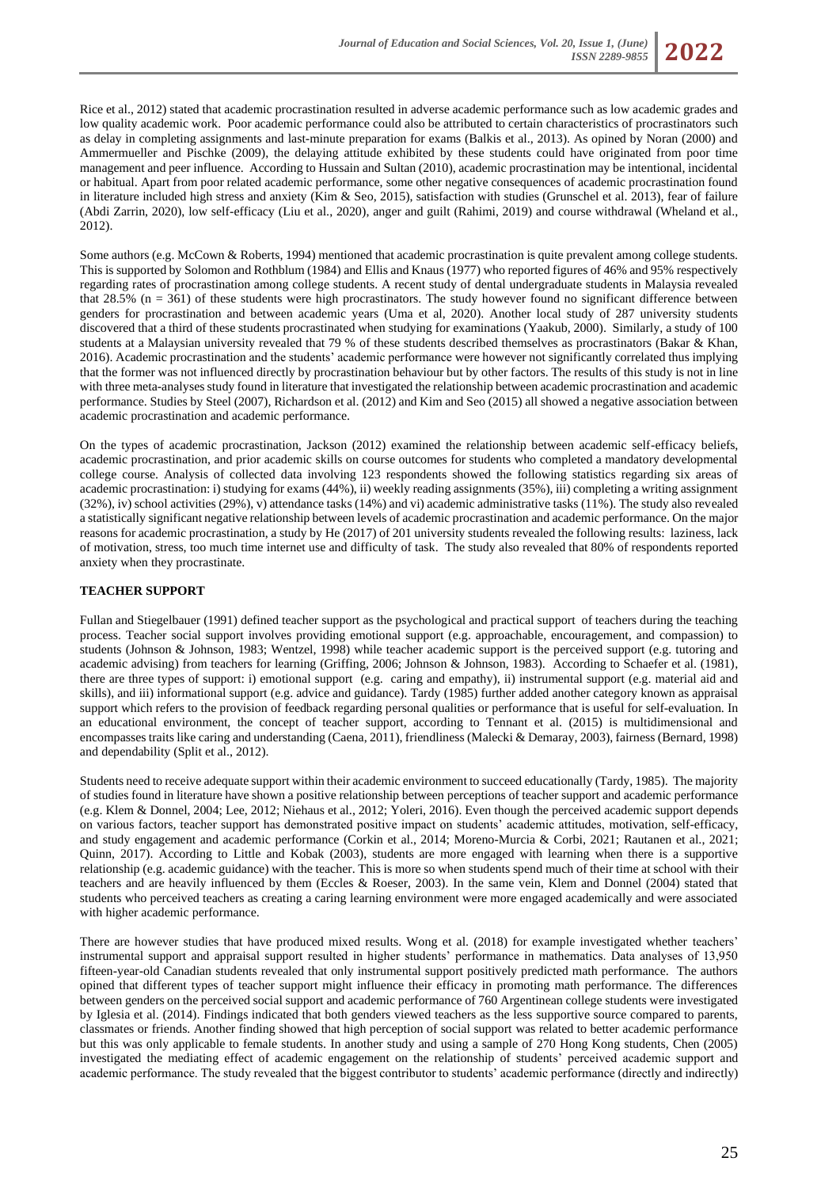

Rice et al., 2012) stated that academic procrastination resulted in adverse academic performance such as low academic grades and low quality academic work. Poor academic performance could also be attributed to certain characteristics of procrastinators such as delay in completing assignments and last-minute preparation for exams (Balkis et al., 2013). As opined by Noran (2000) and Ammermueller and Pischke (2009), the delaying attitude exhibited by these students could have originated from poor time management and peer influence. According to Hussain and Sultan (2010), academic procrastination may be intentional, incidental or habitual. Apart from poor related academic performance, some other negative consequences of academic procrastination found in literature included high stress and anxiety (Kim & Seo, 2015), satisfaction with studies (Grunschel et al. 2013), fear of failure (Abdi Zarrin, 2020), low self-efficacy (Liu et al., 2020), anger and guilt (Rahimi, 2019) and course withdrawal (Wheland et al., 2012).

Some authors (e.g. McCown & Roberts, 1994) mentioned that academic procrastination is quite prevalent among college students. This is supported by Solomon and Rothblum (1984) and Ellis and Knaus (1977) who reported figures of 46% and 95% respectively regarding rates of procrastination among college students. A recent study of dental undergraduate students in Malaysia revealed that  $28.5\%$  (n =  $361$ ) of these students were high procrastinators. The study however found no significant difference between genders for procrastination and between academic years (Uma et al, 2020). Another local study of 287 university students discovered that a third of these students procrastinated when studying for examinations (Yaakub, 2000). Similarly, a study of 100 students at a Malaysian university revealed that 79 % of these students described themselves as procrastinators (Bakar & Khan, 2016). Academic procrastination and the students' academic performance were however not significantly correlated thus implying that the former was not influenced directly by procrastination behaviour but by other factors. The results of this study is not in line with three meta-analyses study found in literature that investigated the relationship between academic procrastination and academic performance. Studies by Steel (2007), Richardson et al. (2012) and Kim and Seo (2015) all showed a negative association between academic procrastination and academic performance.

On the types of academic procrastination, Jackson (2012) examined the relationship between academic self-efficacy beliefs, academic procrastination, and prior academic skills on course outcomes for students who completed a mandatory developmental college course. Analysis of collected data involving 123 respondents showed the following statistics regarding six areas of academic procrastination: i) studying for exams (44%), ii) weekly reading assignments (35%), iii) completing a writing assignment (32%), iv) school activities (29%), v) attendance tasks (14%) and vi) academic administrative tasks (11%). The study also revealed a statistically significant negative relationship between levels of academic procrastination and academic performance. On the major reasons for academic procrastination, a study by He (2017) of 201 university students revealed the following results: laziness, lack of motivation, stress, too much time internet use and difficulty of task. The study also revealed that 80% of respondents reported anxiety when they procrastinate.

# **TEACHER SUPPORT**

Fullan and Stiegelbauer (1991) defined teacher support as the psychological and practical support of teachers during the teaching process. Teacher social support involves providing emotional support (e.g. approachable, encouragement, and compassion) to students (Johnson & Johnson, 1983; Wentzel, 1998) while teacher academic support is the perceived support (e.g. tutoring and academic advising) from teachers for learning (Griffing, 2006; Johnson & Johnson, 1983). According to Schaefer et al. (1981), there are three types of support: i) emotional support (e.g. caring and empathy), ii) instrumental support (e.g. material aid and skills), and iii) informational support (e.g. advice and guidance). Tardy (1985) further added another category known as appraisal support which refers to the provision of feedback regarding personal qualities or performance that is useful for self-evaluation. In an educational environment, the concept of teacher support, according to Tennant et al. (2015) is multidimensional and encompasses traits like caring and understanding (Caena, 2011), friendliness (Malecki & Demaray, 2003), fairness (Bernard, 1998) and dependability (Split et al., 2012).

Students need to receive adequate support within their academic environment to succeed educationally (Tardy, 1985). The majority of studies found in literature have shown a positive relationship between perceptions of teacher support and academic performance (e.g. Klem & Donnel, 2004; Lee, 2012; Niehaus et al., 2012; Yoleri, 2016). Even though the perceived academic support depends on various factors, teacher support has demonstrated positive impact on students' academic attitudes, motivation, self-efficacy, and study engagement and academic performance (Corkin et al., 2014; Moreno-Murcia & Corbi, 2021; Rautanen et al., 2021; Quinn, 2017). According to Little and Kobak (2003), students are more engaged with learning when there is a supportive relationship (e.g. academic guidance) with the teacher. This is more so when students spend much of their time at school with their teachers and are heavily influenced by them (Eccles & Roeser, 2003). In the same vein, Klem and Donnel (2004) stated that students who perceived teachers as creating a caring learning environment were more engaged academically and were associated with higher academic performance.

There are however studies that have produced mixed results. Wong et al. (2018) for example investigated whether teachers' instrumental support and appraisal support resulted in higher students' performance in mathematics. Data analyses of 13,950 fifteen-year-old Canadian students revealed that only instrumental support positively predicted math performance. The authors opined that different types of teacher support might influence their efficacy in promoting math performance. The differences between genders on the perceived social support and academic performance of 760 Argentinean college students were investigated by Iglesia et al. (2014). Findings indicated that both genders viewed teachers as the less supportive source compared to parents, classmates or friends. Another finding showed that high perception of social support was related to better academic performance but this was only applicable to female students. In another study and using a sample of 270 Hong Kong students, Chen (2005) investigated the mediating effect of academic engagement on the relationship of students' perceived academic support and academic performance. The study revealed that the biggest contributor to students' academic performance (directly and indirectly)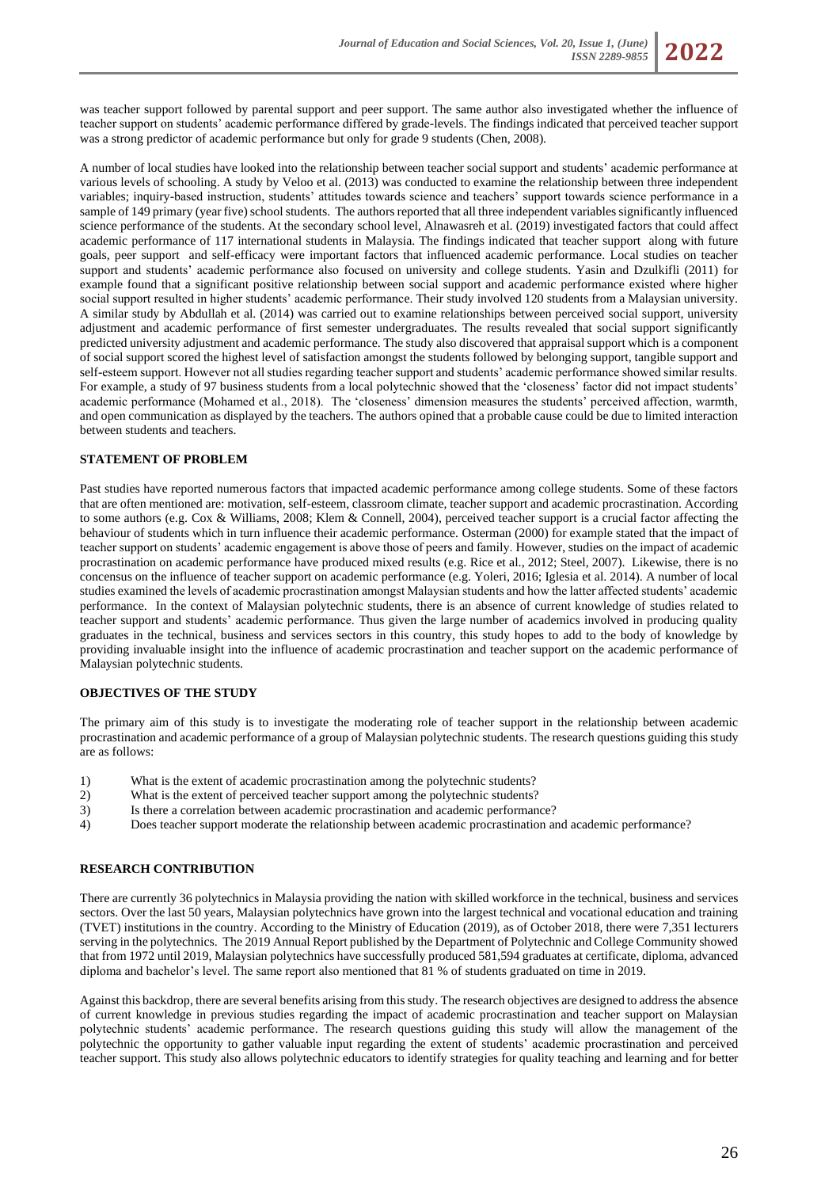was teacher support followed by parental support and peer support. The same author also investigated whether the influence of teacher support on students' academic performance differed by grade-levels. The findings indicated that perceived teacher support was a strong predictor of academic performance but only for grade 9 students (Chen, 2008).

A number of local studies have looked into the relationship between teacher social support and students' academic performance at various levels of schooling. A study by Veloo et al. (2013) was conducted to examine the relationship between three independent variables; inquiry-based instruction, students' attitudes towards science and teachers' support towards science performance in a sample of 149 primary (year five) school students. The authors reported that all three independent variables significantly influenced science performance of the students. At the secondary school level, Alnawasreh et al. (2019) investigated factors that could affect academic performance of 117 international students in Malaysia. The findings indicated that teacher support along with future goals, peer support and self-efficacy were important factors that influenced academic performance. Local studies on teacher support and students' academic performance also focused on university and college students. Yasin and Dzulkifli (2011) for example found that a significant positive relationship between social support and academic performance existed where higher social support resulted in higher students' academic performance. Their study involved 120 students from a Malaysian university. A similar study by Abdullah et al. (2014) was carried out to examine relationships between perceived social support, university adjustment and academic performance of first semester undergraduates. The results revealed that social support significantly predicted university adjustment and academic performance. The study also discovered that appraisal support which is a component of social support scored the highest level of satisfaction amongst the students followed by belonging support, tangible support and self-esteem support. However not all studies regarding teacher support and students' academic performance showed similar results. For example, a study of 97 business students from a local polytechnic showed that the 'closeness' factor did not impact students' academic performance (Mohamed et al., 2018). The 'closeness' dimension measures the students' perceived affection, warmth, and open communication as displayed by the teachers. The authors opined that a probable cause could be due to limited interaction between students and teachers.

# **STATEMENT OF PROBLEM**

Past studies have reported numerous factors that impacted academic performance among college students. Some of these factors that are often mentioned are: motivation, self-esteem, classroom climate, teacher support and academic procrastination. According to some authors (e.g. Cox & Williams, 2008; Klem & Connell, 2004), perceived teacher support is a crucial factor affecting the behaviour of students which in turn influence their academic performance. Osterman (2000) for example stated that the impact of teacher support on students' academic engagement is above those of peers and family. However, studies on the impact of academic procrastination on academic performance have produced mixed results (e.g. Rice et al., 2012; Steel, 2007). Likewise, there is no concensus on the influence of teacher support on academic performance (e.g. Yoleri, 2016; Iglesia et al. 2014). A number of local studies examined the levels of academic procrastination amongst Malaysian students and how the latter affected students' academic performance. In the context of Malaysian polytechnic students, there is an absence of current knowledge of studies related to teacher support and students' academic performance. Thus given the large number of academics involved in producing quality graduates in the technical, business and services sectors in this country, this study hopes to add to the body of knowledge by providing invaluable insight into the influence of academic procrastination and teacher support on the academic performance of Malaysian polytechnic students.

# **OBJECTIVES OF THE STUDY**

The primary aim of this study is to investigate the moderating role of teacher support in the relationship between academic procrastination and academic performance of a group of Malaysian polytechnic students. The research questions guiding this study are as follows:

- 1) What is the extent of academic procrastination among the polytechnic students?
- 2) What is the extent of perceived teacher support among the polytechnic students?
- 3) Is there a correlation between academic procrastination and academic performance?
- 4) Does teacher support moderate the relationship between academic procrastination and academic performance?

### **RESEARCH CONTRIBUTION**

There are currently 36 polytechnics in Malaysia providing the nation with skilled workforce in the technical, business and services sectors. Over the last 50 years, Malaysian polytechnics have grown into the largest technical and vocational education and training (TVET) institutions in the country. According to the Ministry of Education (2019), as of October 2018, there were 7,351 lecturers serving in the polytechnics. The 2019 Annual Report published by the Department of Polytechnic and College Community showed that from 1972 until 2019, Malaysian polytechnics have successfully produced 581,594 graduates at certificate, diploma, advanced diploma and bachelor's level. The same report also mentioned that 81 % of students graduated on time in 2019.

Against this backdrop, there are several benefits arising from this study. The research objectives are designed to address the absence of current knowledge in previous studies regarding the impact of academic procrastination and teacher support on Malaysian polytechnic students' academic performance. The research questions guiding this study will allow the management of the polytechnic the opportunity to gather valuable input regarding the extent of students' academic procrastination and perceived teacher support. This study also allows polytechnic educators to identify strategies for quality teaching and learning and for better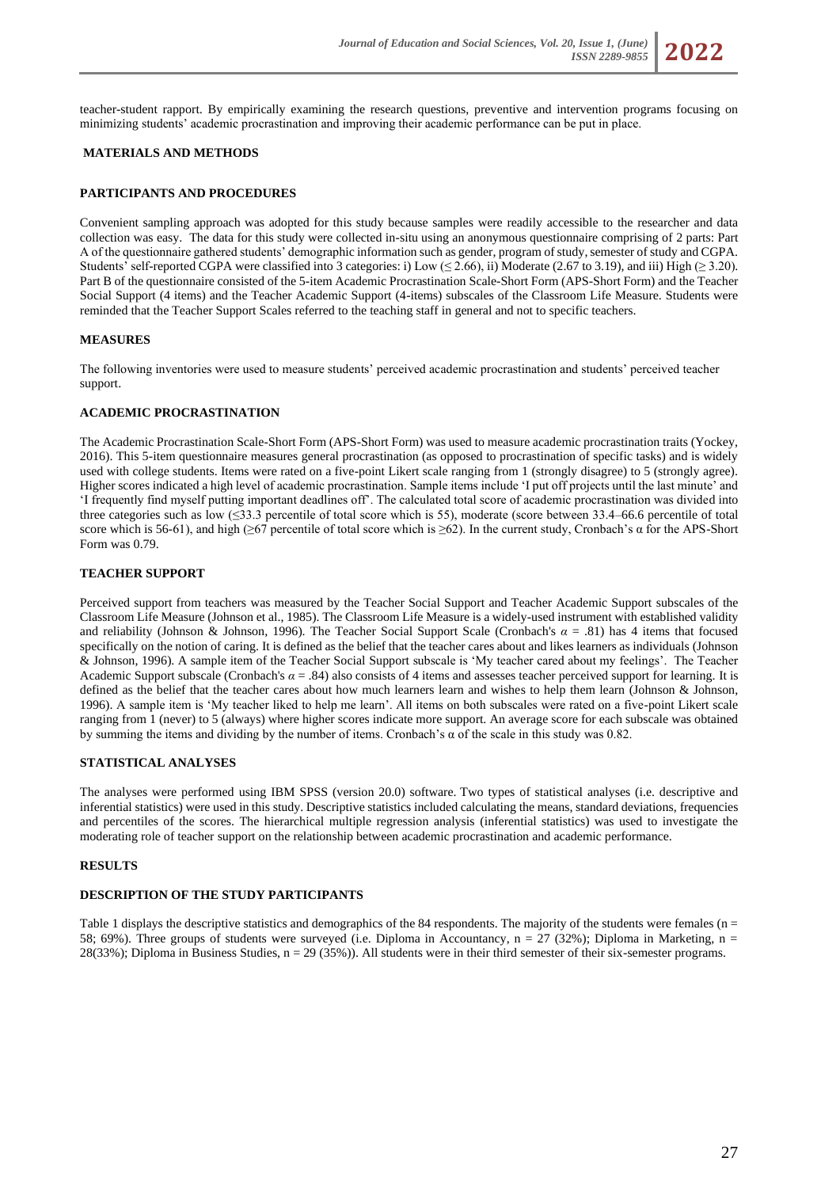teacher-student rapport. By empirically examining the research questions, preventive and intervention programs focusing on minimizing students' academic procrastination and improving their academic performance can be put in place.

# **MATERIALS AND METHODS**

# **PARTICIPANTS AND PROCEDURES**

Convenient sampling approach was adopted for this study because samples were readily accessible to the researcher and data collection was easy. The data for this study were collected in-situ using an anonymous questionnaire comprising of 2 parts: Part A of the questionnaire gathered students' demographic information such as gender, program of study, semester of study and CGPA. Students' self-reported CGPA were classified into 3 categories: i) Low (≤ 2.66), ii) Moderate (2.67 to 3.19), and iii) High (≥ 3.20). Part B of the questionnaire consisted of the 5-item Academic Procrastination Scale-Short Form (APS-Short Form) and the Teacher Social Support (4 items) and the Teacher Academic Support (4-items) subscales of the Classroom Life Measure. Students were reminded that the Teacher Support Scales referred to the teaching staff in general and not to specific teachers.

# **MEASURES**

The following inventories were used to measure students' perceived academic procrastination and students' perceived teacher support.

# **ACADEMIC PROCRASTINATION**

The Academic Procrastination Scale-Short Form (APS-Short Form) was used to measure academic procrastination traits (Yockey, 2016). This 5-item questionnaire measures general procrastination (as opposed to procrastination of specific tasks) and is widely used with college students. Items were rated on a five-point Likert scale ranging from 1 (strongly disagree) to 5 (strongly agree). Higher scores indicated a high level of academic procrastination. Sample items include 'I put off projects until the last minute' and 'I frequently find myself putting important deadlines off'. The calculated total score of academic procrastination was divided into three categories such as low  $(\leq 33.3$  percentile of total score which is 55), moderate (score between 33.4–66.6 percentile of total score which is 56-61), and high (≥67 percentile of total score which is ≥62). In the current study, Cronbach's  $\alpha$  for the APS-Short Form was 0.79.

# **TEACHER SUPPORT**

Perceived support from teachers was measured by the Teacher Social Support and Teacher Academic Support subscales of the Classroom Life Measure (Johnson et al., 1985). The Classroom Life Measure is a widely-used instrument with established validity and reliability (Johnson & Johnson, 1996). The Teacher Social Support Scale (Cronbach's *α* = .81) has 4 items that focused specifically on the notion of caring. It is defined as the belief that the teacher cares about and likes learners as individuals (Johnson & Johnson, 1996). A sample item of the Teacher Social Support subscale is 'My teacher cared about my feelings'. The Teacher Academic Support subscale (Cronbach's  $\alpha = .84$ ) also consists of 4 items and assesses teacher perceived support for learning. It is defined as the belief that the teacher cares about how much learners learn and wishes to help them learn (Johnson & Johnson, 1996). A sample item is 'My teacher liked to help me learn'. All items on both subscales were rated on a five-point Likert scale ranging from 1 (never) to 5 (always) where higher scores indicate more support. An average score for each subscale was obtained by summing the items and dividing by the number of items. Cronbach's  $\alpha$  of the scale in this study was 0.82.

# **STATISTICAL ANALYSES**

The analyses were performed using IBM SPSS (version 20.0) software. Two types of statistical analyses (i.e. descriptive and inferential statistics) were used in this study. Descriptive statistics included calculating the means, standard deviations, frequencies and percentiles of the scores. The hierarchical multiple regression analysis (inferential statistics) was used to investigate the moderating role of teacher support on the relationship between academic procrastination and academic performance.

# **RESULTS**

# **DESCRIPTION OF THE STUDY PARTICIPANTS**

Table 1 displays the descriptive statistics and demographics of the 84 respondents. The majority of the students were females ( $n =$ 58; 69%). Three groups of students were surveyed (i.e. Diploma in Accountancy,  $n = 27$  (32%); Diploma in Marketing,  $n =$ 28(33%); Diploma in Business Studies, n = 29 (35%)). All students were in their third semester of their six-semester programs.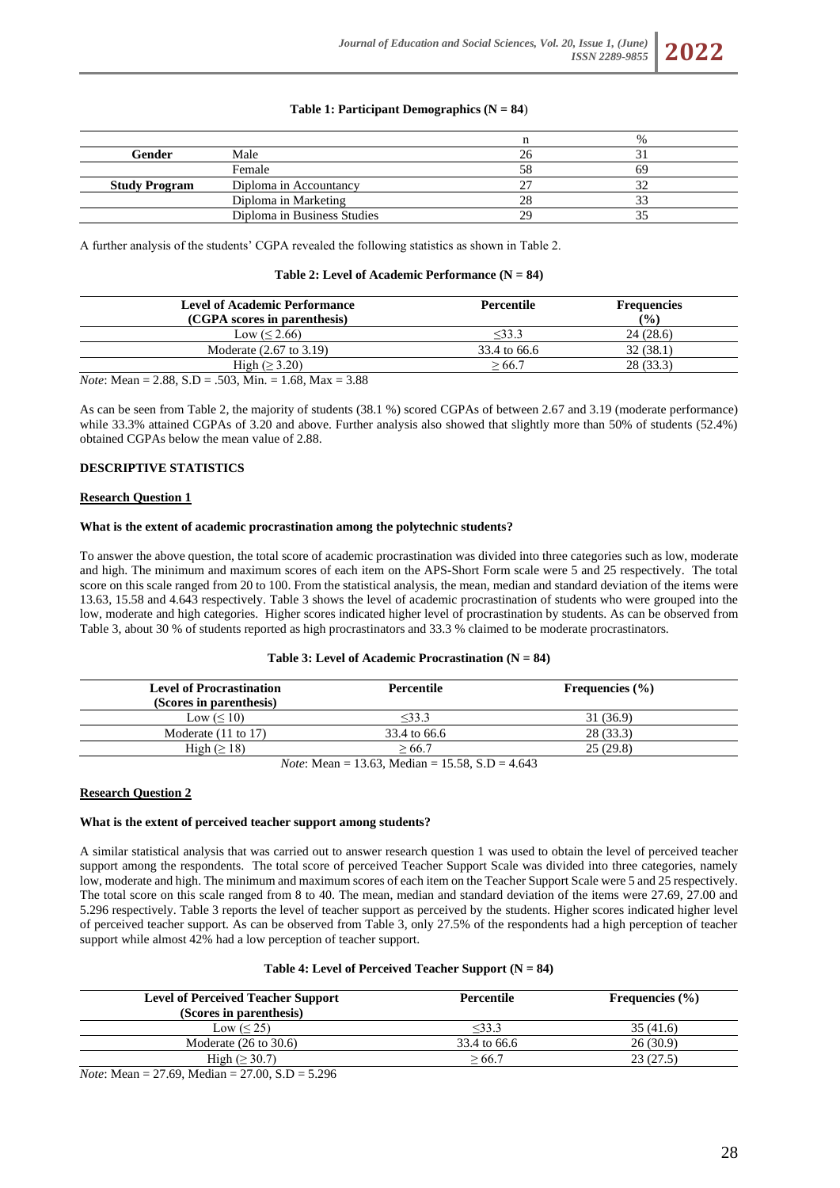# **Table 1: Participant Demographics (** $N = 84$ **)**

|                      |                             |    | $\%$ |  |
|----------------------|-----------------------------|----|------|--|
| Gender               | Male                        |    |      |  |
|                      | Female                      | 58 |      |  |
| <b>Study Program</b> | Diploma in Accountancy      |    |      |  |
|                      | Diploma in Marketing        |    |      |  |
|                      | Diploma in Business Studies | 29 |      |  |

A further analysis of the students' CGPA revealed the following statistics as shown in Table 2.

#### **Table 2: Level of Academic Performance (N = 84)**

| <b>Level of Academic Performance</b> | Percentile   | <b>Frequencies</b> |  |
|--------------------------------------|--------------|--------------------|--|
| (CGPA scores in parenthesis)         |              | $($ %)             |  |
| Low $(< 2.66)$                       | $<$ 33.3     | 24(28.6)           |  |
| Moderate (2.67 to 3.19)              | 33.4 to 66.6 | 32(38.1)           |  |
| High $(\geq 3.20)$                   | >66.7        | 28(33.3)           |  |

*Note*: Mean = 2.88, S.D = .503, Min. = 1.68, Max = 3.88

As can be seen from Table 2, the majority of students (38.1 %) scored CGPAs of between 2.67 and 3.19 (moderate performance) while 33.3% attained CGPAs of 3.20 and above. Further analysis also showed that slightly more than 50% of students (52.4%) obtained CGPAs below the mean value of 2.88.

### **DESCRIPTIVE STATISTICS**

#### **Research Question 1**

#### **What is the extent of academic procrastination among the polytechnic students?**

To answer the above question, the total score of academic procrastination was divided into three categories such as low, moderate and high. The minimum and maximum scores of each item on the APS-Short Form scale were 5 and 25 respectively. The total score on this scale ranged from 20 to 100. From the statistical analysis, the mean, median and standard deviation of the items were 13.63, 15.58 and 4.643 respectively. Table 3 shows the level of academic procrastination of students who were grouped into the low, moderate and high categories. Higher scores indicated higher level of procrastination by students. As can be observed from Table 3, about 30 % of students reported as high procrastinators and 33.3 % claimed to be moderate procrastinators.

#### **Table 3: Level of Academic Procrastination (N = 84)**

| <b>Level of Procrastination</b><br>(Scores in parenthesis) | Percentile                                                                                                                                                                                                                                                                                                                                                                            | Frequencies $(\% )$ |
|------------------------------------------------------------|---------------------------------------------------------------------------------------------------------------------------------------------------------------------------------------------------------------------------------------------------------------------------------------------------------------------------------------------------------------------------------------|---------------------|
| Low $(\leq 10)$                                            | $<$ 33.3                                                                                                                                                                                                                                                                                                                                                                              | 31 (36.9)           |
| Moderate $(11 \text{ to } 17)$                             | 33.4 to 66.6                                                                                                                                                                                                                                                                                                                                                                          | 28 (33.3)           |
| High $(\geq 18)$                                           | $\ge 66.7$                                                                                                                                                                                                                                                                                                                                                                            | 25(29.8)            |
|                                                            | $\overline{M}$ , $\overline{M}$ $\overline{M}$ $\overline{M}$ $\overline{M}$ $\overline{M}$ $\overline{M}$ $\overline{M}$ $\overline{M}$ $\overline{M}$ $\overline{M}$ $\overline{M}$ $\overline{M}$ $\overline{M}$ $\overline{M}$ $\overline{M}$ $\overline{M}$ $\overline{M}$ $\overline{M}$ $\overline{M}$ $\overline{M}$ $\overline{M}$ $\overline{M}$ $\overline{M}$ $\overline$ |                     |

*Note*: Mean = 13.63, Median = 15.58, S.D = 4.643

### **Research Question 2**

#### **What is the extent of perceived teacher support among students?**

A similar statistical analysis that was carried out to answer research question 1 was used to obtain the level of perceived teacher support among the respondents. The total score of perceived Teacher Support Scale was divided into three categories, namely low, moderate and high. The minimum and maximum scores of each item on the Teacher Support Scale were 5 and 25 respectively. The total score on this scale ranged from 8 to 40. The mean, median and standard deviation of the items were 27.69, 27.00 and 5.296 respectively. Table 3 reports the level of teacher support as perceived by the students. Higher scores indicated higher level of perceived teacher support. As can be observed from Table 3, only 27.5% of the respondents had a high perception of teacher support while almost 42% had a low perception of teacher support.

#### **Table 4: Level of Perceived Teacher Support (N = 84)**

| <b>Level of Perceived Teacher Support</b>                  | Percentile   | Frequencies $(\% )$ |  |
|------------------------------------------------------------|--------------|---------------------|--|
| (Scores in parenthesis)                                    |              |                     |  |
| Low $(< 25)$                                               | <33.3        | 35 (41.6)           |  |
| Moderate $(26 \text{ to } 30.6)$                           | 33.4 to 66.6 | 26(30.9)            |  |
| High $(\geq 30.7)$                                         | $\ge 66.7$   | 23(27.5)            |  |
| $\mathbf{v}$ $\mathbf{v}$<br>$27.00.05$ $7.006$<br>27.6311 |              |                     |  |

*Note*: Mean = 27.69, Median = 27.00, S.D = 5.296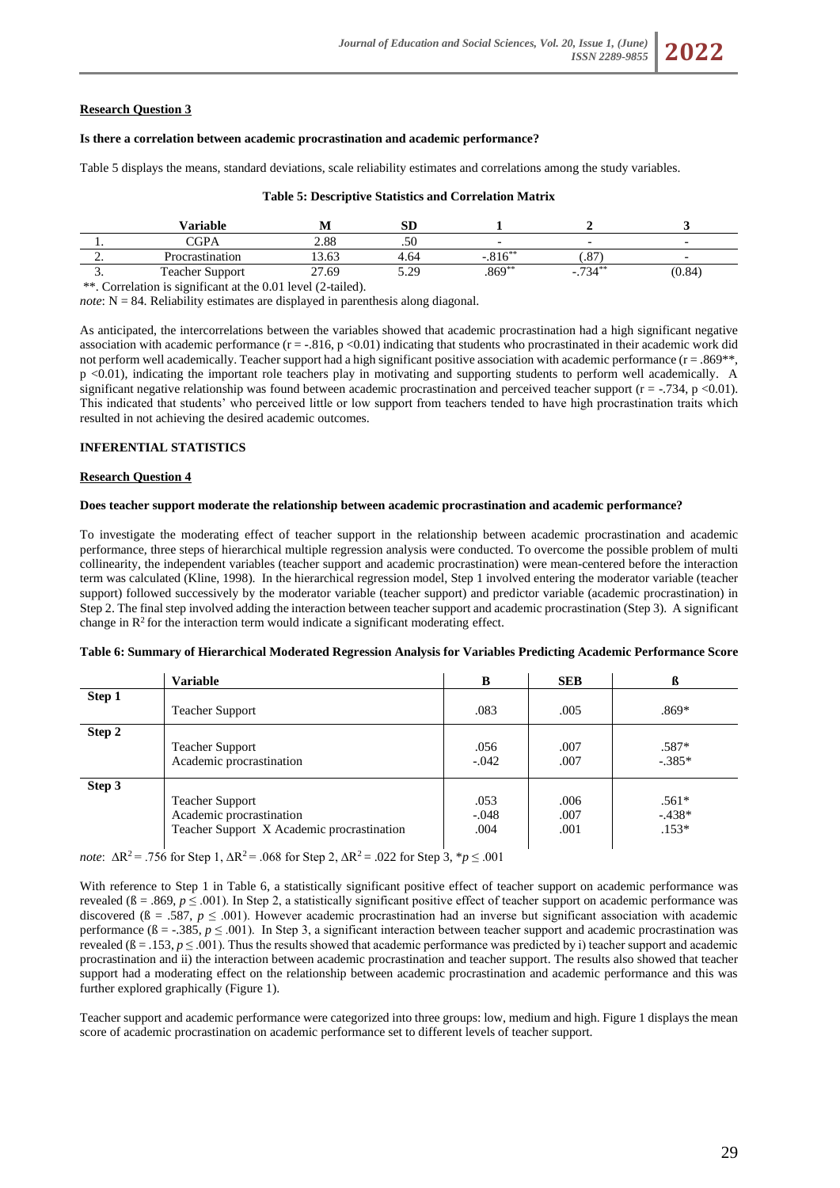# **Research Question 3**

### **Is there a correlation between academic procrastination and academic performance?**

Table 5 displays the means, standard deviations, scale reliability estimates and correlations among the study variables.

### **Table 5: Descriptive Statistics and Correlation Matrix**

|          | Variable               | .     | cт<br>ΩU       |            |                        |        |
|----------|------------------------|-------|----------------|------------|------------------------|--------|
|          | $\cap$ GPA             | 2.88  | ہ~<br>.JU      |            |                        |        |
| <u>.</u> | Procrastination        | 13.63 | 4.64           | $0.1 - **$ | $\Omega$<br>ا ه. ا     |        |
| <u>.</u> | <b>Teacher Support</b> | 27.69 | 20<br>ر بے . ب | $.869**$   | $72.4**$<br>-<br>- 794 | (0.84) |

\*\*. Correlation is significant at the 0.01 level (2-tailed).

*note*: N = 84. Reliability estimates are displayed in parenthesis along diagonal.

As anticipated, the intercorrelations between the variables showed that academic procrastination had a high significant negative association with academic performance  $(r = .816, p < 0.01)$  indicating that students who procrastinated in their academic work did not perform well academically. Teacher support had a high significant positive association with academic performance (r = .869<sup>\*\*</sup>, p <0.01), indicating the important role teachers play in motivating and supporting students to perform well academically. A significant negative relationship was found between academic procrastination and perceived teacher support ( $r = -0.734$ , p <0.01). This indicated that students' who perceived little or low support from teachers tended to have high procrastination traits which resulted in not achieving the desired academic outcomes.

# **INFERENTIAL STATISTICS**

### **Research Question 4**

### **Does teacher support moderate the relationship between academic procrastination and academic performance?**

To investigate the moderating effect of teacher support in the relationship between academic procrastination and academic performance, three steps of hierarchical multiple regression analysis were conducted. To overcome the possible problem of multi collinearity, the independent variables (teacher support and academic procrastination) were mean-centered before the interaction term was calculated (Kline, 1998). In the hierarchical regression model, Step 1 involved entering the moderator variable (teacher support) followed successively by the moderator variable (teacher support) and predictor variable (academic procrastination) in Step 2. The final step involved adding the interaction between teacher support and academic procrastination (Step 3). A significant change in  $\mathbb{R}^2$  for the interaction term would indicate a significant moderating effect.

#### **Table 6: Summary of Hierarchical Moderated Regression Analysis for Variables Predicting Academic Performance Score**

|        | <b>Variable</b>                                                                                  | B                       | <b>SEB</b>           | ß                             |
|--------|--------------------------------------------------------------------------------------------------|-------------------------|----------------------|-------------------------------|
| Step 1 |                                                                                                  |                         |                      |                               |
|        | <b>Teacher Support</b>                                                                           | .083                    | .005                 | $.869*$                       |
| Step 2 | <b>Teacher Support</b><br>Academic procrastination                                               | .056<br>$-.042$         | .007<br>.007         | .587*<br>$-.385*$             |
| Step 3 | <b>Teacher Support</b><br>Academic procrastination<br>Teacher Support X Academic procrastination | .053<br>$-.048$<br>.004 | .006<br>.007<br>.001 | $.561*$<br>$-438*$<br>$.153*$ |

*note*: ∆R<sup>2</sup>= .756 for Step 1, ∆R<sup>2</sup>= .068 for Step 2, ∆R<sup>2</sup>= .022 for Step 3, \**p* ≤ .001

With reference to Step 1 in Table 6, a statistically significant positive effect of teacher support on academic performance was revealed ( $\beta = .869$ ,  $p \le .001$ ). In Step 2, a statistically significant positive effect of teacher support on academic performance was discovered ( $\beta = .587$ ,  $p \le .001$ ). However academic procrastination had an inverse but significant association with academic performance  $(\beta = -0.385, p \le 0.001)$ . In Step 3, a significant interaction between teacher support and academic procrastination was revealed  $(6 = .153, p \le .001)$ . Thus the results showed that academic performance was predicted by i) teacher support and academic procrastination and ii) the interaction between academic procrastination and teacher support. The results also showed that teacher support had a moderating effect on the relationship between academic procrastination and academic performance and this was further explored graphically (Figure 1).

Teacher support and academic performance were categorized into three groups: low, medium and high. Figure 1 displays the mean score of academic procrastination on academic performance set to different levels of teacher support.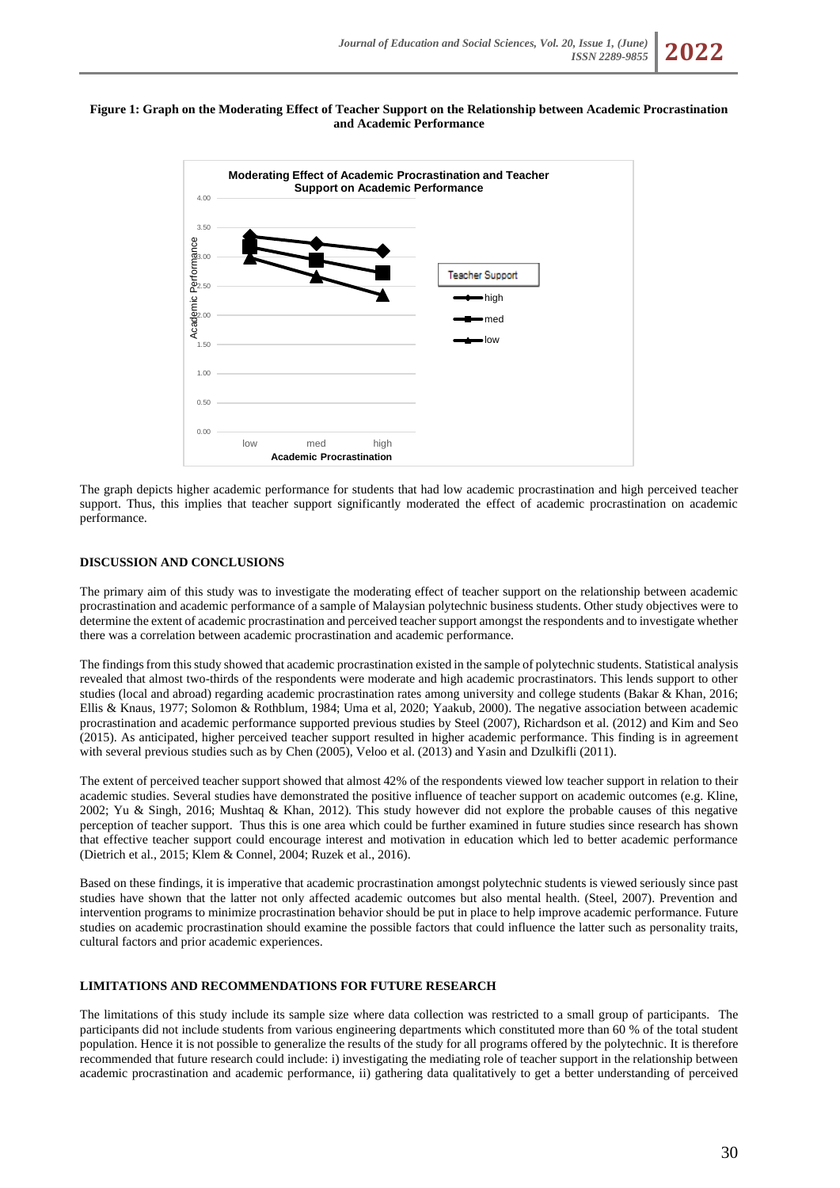### **Figure 1: Graph on the Moderating Effect of Teacher Support on the Relationship between Academic Procrastination and Academic Performance**



The graph depicts higher academic performance for students that had low academic procrastination and high perceived teacher support. Thus, this implies that teacher support significantly moderated the effect of academic procrastination on academic performance.

# **DISCUSSION AND CONCLUSIONS**

The primary aim of this study was to investigate the moderating effect of teacher support on the relationship between academic procrastination and academic performance of a sample of Malaysian polytechnic business students. Other study objectives were to determine the extent of academic procrastination and perceived teacher support amongst the respondents and to investigate whether there was a correlation between academic procrastination and academic performance.

The findings from this study showed that academic procrastination existed in the sample of polytechnic students. Statistical analysis revealed that almost two-thirds of the respondents were moderate and high academic procrastinators. This lends support to other studies (local and abroad) regarding academic procrastination rates among university and college students (Bakar & Khan, 2016; Ellis & Knaus, 1977; Solomon & Rothblum, 1984; Uma et al, 2020; Yaakub, 2000). The negative association between academic procrastination and academic performance supported previous studies by Steel (2007), Richardson et al. (2012) and Kim and Seo (2015). As anticipated, higher perceived teacher support resulted in higher academic performance. This finding is in agreement with several previous studies such as by Chen (2005), Veloo et al. (2013) and Yasin and Dzulkifli (2011).

The extent of perceived teacher support showed that almost 42% of the respondents viewed low teacher support in relation to their academic studies. Several studies have demonstrated the positive influence of teacher support on academic outcomes (e.g. Kline, 2002; Yu & Singh, 2016; Mushtaq & Khan, 2012). This study however did not explore the probable causes of this negative perception of teacher support. Thus this is one area which could be further examined in future studies since research has shown that effective teacher support could encourage interest and motivation in education which led to better academic performance (Dietrich et al., 2015; Klem & Connel, 2004; Ruzek et al., 2016).

Based on these findings, it is imperative that academic procrastination amongst polytechnic students is viewed seriously since past studies have shown that the latter not only affected academic outcomes but also mental health. (Steel, 2007). Prevention and intervention programs to minimize procrastination behavior should be put in place to help improve academic performance. Future studies on academic procrastination should examine the possible factors that could influence the latter such as personality traits, cultural factors and prior academic experiences.

# **LIMITATIONS AND RECOMMENDATIONS FOR FUTURE RESEARCH**

The limitations of this study include its sample size where data collection was restricted to a small group of participants. The participants did not include students from various engineering departments which constituted more than 60 % of the total student population. Hence it is not possible to generalize the results of the study for all programs offered by the polytechnic. It is therefore recommended that future research could include: i) investigating the mediating role of teacher support in the relationship between academic procrastination and academic performance, ii) gathering data qualitatively to get a better understanding of perceived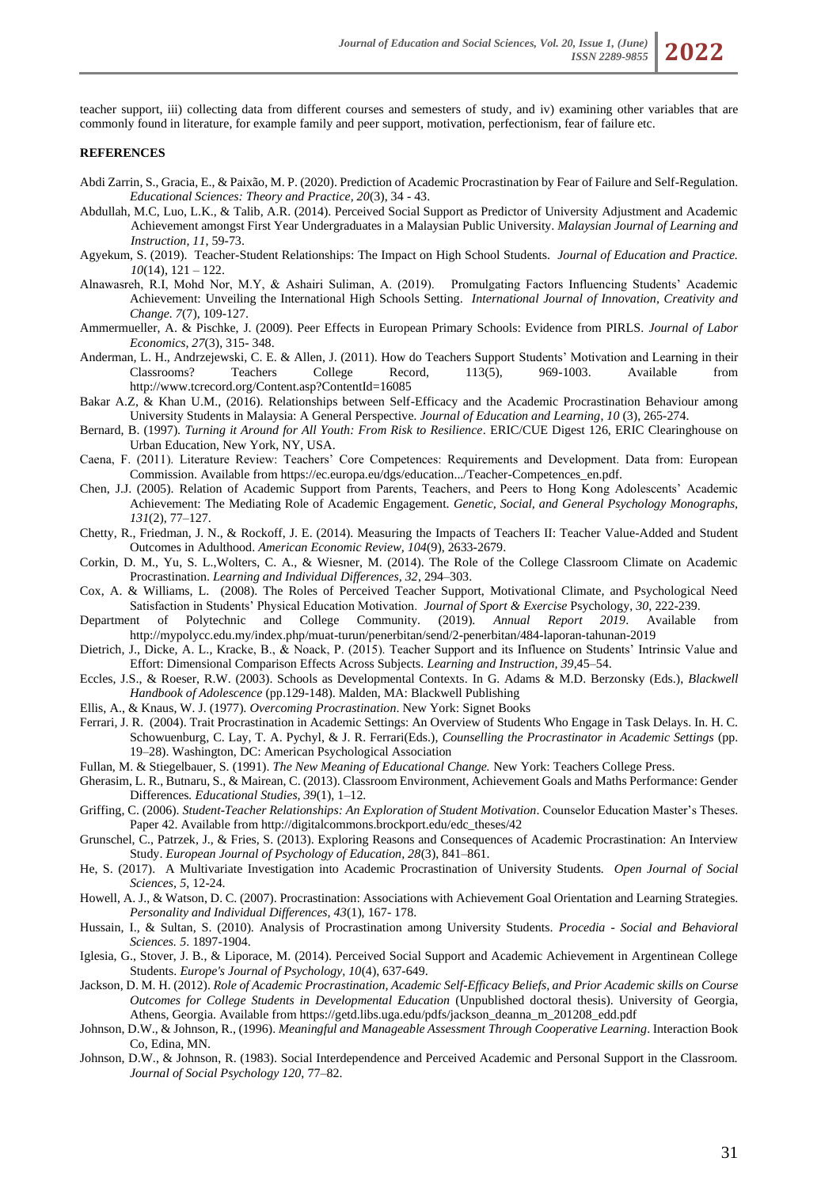teacher support, iii) collecting data from different courses and semesters of study, and iv) examining other variables that are commonly found in literature, for example family and peer support, motivation, perfectionism, fear of failure etc.

#### **REFERENCES**

- Abdi Zarrin, S., Gracia, E., & Paixão, M. P. (2020). Prediction of Academic Procrastination by Fear of Failure and Self-Regulation. *Educational Sciences: Theory and Practice, 20*(3), 34 - 43.
- Abdullah, M.C, Luo, L.K., & Talib, A.R. (2014). Perceived Social Support as Predictor of University Adjustment and Academic Achievement amongst First Year Undergraduates in a Malaysian Public University. *Malaysian Journal of Learning and Instruction, 11*, 59-73.
- Agyekum, S. (2019). Teacher-Student Relationships: The Impact on High School Students. *Journal of Education and Practice. 10*(14), 121 – 122.
- Alnawasreh, R.I, Mohd Nor, M.Y, & Ashairi Suliman, A. (2019). Promulgating Factors Influencing Students' Academic Achievement: Unveiling the International High Schools Setting. *International Journal of Innovation, Creativity and Change. 7*(7), 109-127.
- Ammermueller, A. & Pischke, J. (2009). Peer Effects in European Primary Schools: Evidence from PIRLS. *Journal of Labor Economics, 27*(3), 315- 348.
- Anderman, L. H., Andrzejewski, C. E. & Allen, J. (2011). How do Teachers Support Students' Motivation and Learning in their Classrooms? Teachers College Record, 113(5), 969-1003. Available from http://www.tcrecord.org/Content.asp?ContentId=16085
- Bakar A.Z, & Khan U.M., (2016). Relationships between Self-Efficacy and the Academic Procrastination Behaviour among University Students in Malaysia: A General Perspective*. Journal of Education and Learning*, *10* (3), 265-274.
- Bernard, B. (1997). *Turning it Around for All Youth: From Risk to Resilience*. ERIC/CUE Digest 126, ERIC Clearinghouse on Urban Education, New York, NY, USA.
- Caena, F. (2011). Literature Review: Teachers' Core Competences: Requirements and Development. Data from: European Commission. Available from https://ec.europa.eu/dgs/education.../Teacher-Competences\_en.pdf.
- Chen, J.J. (2005). Relation of Academic Support from Parents, Teachers, and Peers to Hong Kong Adolescents' Academic Achievement: The Mediating Role of Academic Engagement. *Genetic, Social, and General Psychology Monographs, 131*(2), 77–127.
- Chetty, R., Friedman, J. N., & Rockoff, J. E. (2014). Measuring the Impacts of Teachers II: Teacher Value-Added and Student Outcomes in Adulthood. *American Economic Review, 104*(9), 2633-2679.
- Corkin, D. M., Yu, S. L.,Wolters, C. A., & Wiesner, M. (2014). The Role of the College Classroom Climate on Academic Procrastination. *Learning and Individual Differences, 32*, 294–303.
- Cox, A. & Williams, L. (2008). The Roles of Perceived Teacher Support, Motivational Climate, and Psychological Need Satisfaction in Students' Physical Education Motivation. *Journal of Sport & Exercise* Psychology, *30*, 222-239.
- Department of Polytechnic and College Community. (2019). *Annual Report 2019*. Available from http://mypolycc.edu.my/index.php/muat-turun/penerbitan/send/2-penerbitan/484-laporan-tahunan-2019
- Dietrich, J., Dicke, A. L., Kracke, B., & Noack, P. (2015). Teacher Support and its Influence on Students' Intrinsic Value and Effort: Dimensional Comparison Effects Across Subjects. *Learning and Instruction, 39*,45–54.
- Eccles, J.S., & Roeser, R.W. (2003). Schools as Developmental Contexts. In G. Adams & M.D. Berzonsky (Eds.), *Blackwell Handbook of Adolescence* (pp.129-148). Malden, MA: Blackwell Publishing
- Ellis, A., & Knaus, W. J. (1977). *Overcoming Procrastination*. New York: Signet Books
- Ferrari, J. R. (2004). Trait Procrastination in Academic Settings: An Overview of Students Who Engage in Task Delays. In. H. C. Schowuenburg, C. Lay, T. A. Pychyl, & J. R. Ferrari(Eds.), *Counselling the Procrastinator in Academic Settings* (pp. 19–28). Washington, DC: American Psychological Association
- Fullan, M. & Stiegelbauer, S. (1991). *The New Meaning of Educational Change.* New York: Teachers College Press.
- Gherasim, L. R., Butnaru, S., & Mairean, C. (2013). Classroom Environment, Achievement Goals and Maths Performance: Gender Differences*. Educational Studies, 39*(1), 1–12.
- Griffing, C. (2006). *Student-Teacher Relationships: An Exploration of Student Motivation*. Counselor Education Master's These*s*. Paper 42. Available from http://digitalcommons.brockport.edu/edc\_theses/42
- Grunschel, C., Patrzek, J., & Fries, S. (2013). Exploring Reasons and Consequences of Academic Procrastination: An Interview Study. *European Journal of Psychology of Education, 28*(3), 841–861.
- He, S. (2017). A Multivariate Investigation into Academic Procrastination of University Students*. Open Journal of Social Sciences, 5*, 12-24.
- Howell, A. J., & Watson, D. C. (2007). Procrastination: Associations with Achievement Goal Orientation and Learning Strategies. *Personality and Individual Differences, 43*(1), 167- 178.
- Hussain, I., & Sultan, S. (2010). Analysis of Procrastination among University Students. *Procedia - Social and Behavioral Sciences. 5*. 1897-1904.
- Iglesia, G., Stover, J. B., & Liporace, M. (2014). Perceived Social Support and Academic Achievement in Argentinean College Students. *Europe's Journal of Psychology, 10*(4), 637-649.
- Jackson, D. M. H. (2012). *Role of Academic Procrastination, Academic Self-Efficacy Beliefs, and Prior Academic skills on Course Outcomes for College Students in Developmental Education* (Unpublished doctoral thesis). University of Georgia, Athens, Georgia. Available from https://getd.libs.uga.edu/pdfs/jackson\_deanna\_m\_201208\_edd.pdf
- Johnson, D.W., & Johnson, R., (1996). *Meaningful and Manageable Assessment Through Cooperative Learning*. Interaction Book Co, Edina, MN.
- Johnson, D.W., & Johnson, R. (1983). Social Interdependence and Perceived Academic and Personal Support in the Classroom. *Journal of Social Psychology 120*, 77–82.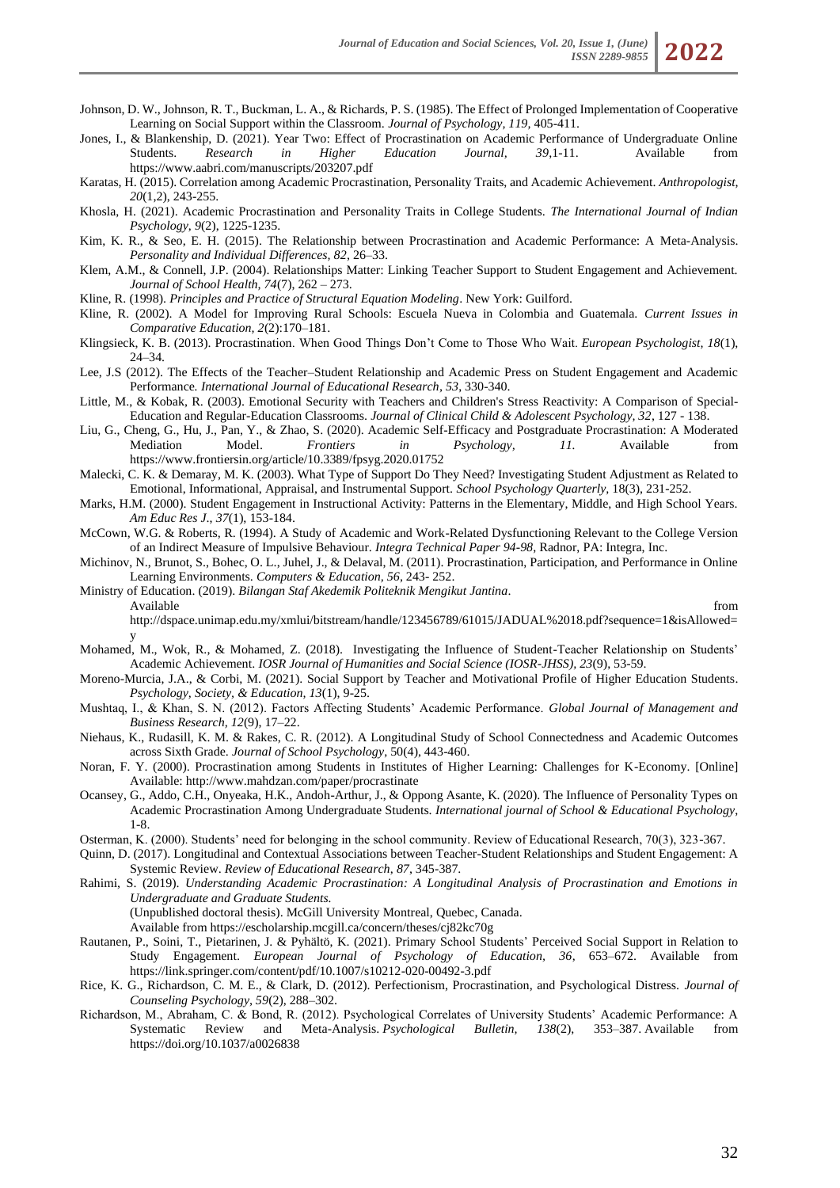- Johnson, D. W., Johnson, R. T., Buckman, L. A., & Richards, P. S. (1985). The Effect of Prolonged Implementation of Cooperative Learning on Social Support within the Classroom. *Journal of Psychology, 119,* 405-411.
- Jones, I., & Blankenship, D. (2021). Year Two: Effect of Procrastination on Academic Performance of Undergraduate Online Students. *Research in Higher Education Journal, 39*,1-11. Available from https://www.aabri.com/manuscripts/203207.pdf
- Karatas, H. (2015). Correlation among Academic Procrastination, Personality Traits, and Academic Achievement. *Anthropologist, 20*(1,2), 243-255.
- Khosla, H. (2021). Academic Procrastination and Personality Traits in College Students. *The International Journal of Indian Psychology*, *9*(2), 1225-1235.
- Kim, K. R., & Seo, E. H. (2015). The Relationship between Procrastination and Academic Performance: A Meta-Analysis. *Personality and Individual Differences, 82*, 26–33.
- Klem, A.M., & Connell, J.P. (2004). Relationships Matter: Linking Teacher Support to Student Engagement and Achievement. *Journal of School Health, 74*(7), 262 – 273.
- Kline, R. (1998). *Principles and Practice of Structural Equation Modeling*. New York: Guilford.
- Kline, R. (2002). A Model for Improving Rural Schools: Escuela Nueva in Colombia and Guatemala. *Current Issues in Comparative Education, 2*(2):170–181.
- Klingsieck, K. B. (2013). Procrastination. When Good Things Don't Come to Those Who Wait. *European Psychologist, 18*(1), 24–34.
- Lee, J.S (2012). The Effects of the Teacher–Student Relationship and Academic Press on Student Engagement and Academic Performance*[. International Journal of Educational Research,](https://www.sciencedirect.com/science/journal/08830355) 53*, 330-340.
- Little, M., & Kobak, R. (2003). Emotional Security with Teachers and Children's Stress Reactivity: A Comparison of Special-Education and Regular-Education Classrooms. *Journal of Clinical Child & Adolescent Psychology, 32*, 127 - 138.
- Liu, G., Cheng, G., Hu, J., Pan, Y., & Zhao, S. (2020). Academic Self-Efficacy and Postgraduate Procrastination: A Moderated Mediation Model. *Frontiers in Psychology, 11.* Available from https://www.frontiersin.org/article/10.3389/fpsyg.2020.01752
- Malecki, C. K. & Demaray, M. K. (2003). What Type of Support Do They Need? Investigating Student Adjustment as Related to Emotional, Informational, Appraisal, and Instrumental Support. *School Psychology Quarterly,* 18(3), 231-252.
- Marks, H.M. (2000). Student Engagement in Instructional Activity: Patterns in the Elementary, Middle, and High School Years. *Am Educ Res J*., *37*(1), 153-184.
- McCown, W.G. & Roberts, R. (1994). A Study of Academic and Work-Related Dysfunctioning Relevant to the College Version of an Indirect Measure of Impulsive Behaviour. *Integra Technical Paper 94-98*, Radnor, PA: Integra, Inc.
- Michinov, N., Brunot, S., Bohec, O. L., Juhel, J., & Delaval, M. (2011). Procrastination, Participation, and Performance in Online Learning Environments. *Computers & Education, 56*, 243- 252.

Ministry of Education. (2019). *Bilangan Staf Akedemik Politeknik Mengikut Jantina*. Available from the contract of the contract of the contract of the contract of the contract of the contract of the contract of the contract of the contract of the contract of the contract of the contract of the contract of

- http://dspace.unimap.edu.my/xmlui/bitstream/handle/123456789/61015/JADUAL%2018.pdf?sequence=1&isAllowed= y
- Mohamed, M., Wok, R., & Mohamed, Z. (2018). Investigating the Influence of Student-Teacher Relationship on Students' Academic Achievement. *IOSR Journal of Humanities and Social Science (IOSR-JHSS), 23*(9), 53-59.
- Moreno-Murcia, J.A., & Corbi, M. (2021). Social Support by Teacher and Motivational Profile of Higher Education Students. *Psychology, Society, & Education, 13*(1), 9-25.
- Mushtaq, I., & Khan, S. N. (2012). Factors Affecting Students' Academic Performance. *Global Journal of Management and Business Research, 12*(9), 17–22.
- Niehaus, K., Rudasill, K. M. & Rakes, C. R. (2012). A Longitudinal Study of School Connectedness and Academic Outcomes across Sixth Grade. *Journal of School Psychology*, 50(4), 443-460.
- Noran, F. Y. (2000). Procrastination among Students in Institutes of Higher Learning: Challenges for K-Economy. [Online] Available: http://www.mahdzan.com/paper/procrastinate
- Ocansey, G., Addo, C.H., Onyeaka, H.K., Andoh-Arthur, J., & Oppong Asante, K. (2020). The Influence of Personality Types on Academic Procrastination Among Undergraduate Students. *International journal of School & Educational Psychology*, 1-8.
- Osterman, K. (2000). Students' need for belonging in the school community. Review of Educational Research, 70(3), 323-367.
- Quinn, D. (2017). Longitudinal and Contextual Associations between Teacher-Student Relationships and Student Engagement: A Systemic Review. *Review of Educational Research*, *87*, 345-387.
- Rahimi, S. (2019). *Understanding Academic Procrastination: A Longitudinal Analysis of Procrastination and Emotions in Undergraduate and Graduate Students.*
	- (Unpublished doctoral thesis). McGill University Montreal, Quebec, Canada.
	- Available from https://escholarship.mcgill.ca/concern/theses/cj82kc70g
- Rautanen, P., Soini, T., Pietarinen, J. & Pyhältö, K. (2021). Primary School Students' Perceived Social Support in Relation to Study Engagement. *European Journal of Psychology of Education, 36*, 653–672. Available from https://link.springer.com/content/pdf/10.1007/s10212-020-00492-3.pdf
- Rice, K. G., Richardson, C. M. E., & Clark, D. (2012). Perfectionism, Procrastination, and Psychological Distress. *Journal of Counseling Psychology, 59*(2), 288–302.
- Richardson, M., Abraham, C. & Bond, R. (2012). Psychological Correlates of University Students' Academic Performance: A Systematic Review and Meta-Analysis. *Psychological Bulletin, 138*(2), 353–387. Available from [https://doi.org/10.1037/a0026838](https://psycnet.apa.org/doi/10.1037/a0026838)